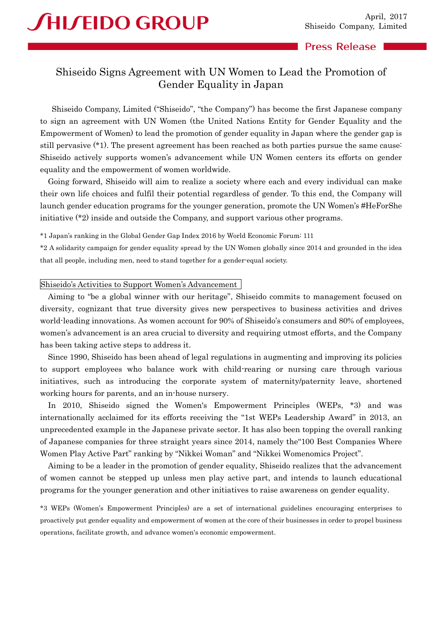## **Press Release**

# Shiseido Signs Agreement with UN Women to Lead the Promotion of Gender Equality in Japan

Shiseido Company, Limited ("Shiseido", "the Company") has become the first Japanese company to sign an agreement with UN Women (the United Nations Entity for Gender Equality and the Empowerment of Women) to lead the promotion of gender equality in Japan where the gender gap is still pervasive (\*1). The present agreement has been reached as both parties pursue the same cause: Shiseido actively supports women's advancement while UN Women centers its efforts on gender equality and the empowerment of women worldwide.

Going forward, Shiseido will aim to realize a society where each and every individual can make their own life choices and fulfil their potential regardless of gender. To this end, the Company will launch gender education programs for the younger generation, promote the UN Women's #HeForShe initiative (\*2) inside and outside the Company, and support various other programs.

\*1 Japan's ranking in the Global Gender Gap Index 2016 by World Economic Forum: 111

\*2 A solidarity campaign for gender equality spread by the UN Women globally since 2014 and grounded in the idea that all people, including men, need to stand together for a gender-equal society.

#### Shiseido's Activities to Support Women's Advancement

Aiming to "be a global winner with our heritage", Shiseido commits to management focused on diversity, cognizant that true diversity gives new perspectives to business activities and drives world-leading innovations. As women account for 90% of Shiseido's consumers and 80% of employees, women's advancement is an area crucial to diversity and requiring utmost efforts, and the Company has been taking active steps to address it.

Since 1990, Shiseido has been ahead of legal regulations in augmenting and improving its policies to support employees who balance work with child-rearing or nursing care through various initiatives, such as introducing the corporate system of maternity/paternity leave, shortened working hours for parents, and an in-house nursery.

In 2010, Shiseido signed the Women's Empowerment Principles (WEPs, \*3) and was internationally acclaimed for its efforts receiving the "1st WEPs Leadership Award" in 2013, an unprecedented example in the Japanese private sector. It has also been topping the overall ranking of Japanese companies for three straight years since 2014, namely the"100 Best Companies Where Women Play Active Part" ranking by "Nikkei Woman" and "Nikkei Womenomics Project".

Aiming to be a leader in the promotion of gender equality, Shiseido realizes that the advancement of women cannot be stepped up unless men play active part, and intends to launch educational programs for the younger generation and other initiatives to raise awareness on gender equality.

\*3 WEPs (Women's Empowerment Principles) are a set of international guidelines encouraging enterprises to proactively put gender equality and empowerment of women at the core of their businesses in order to propel business operations, facilitate growth, and advance women's economic empowerment.